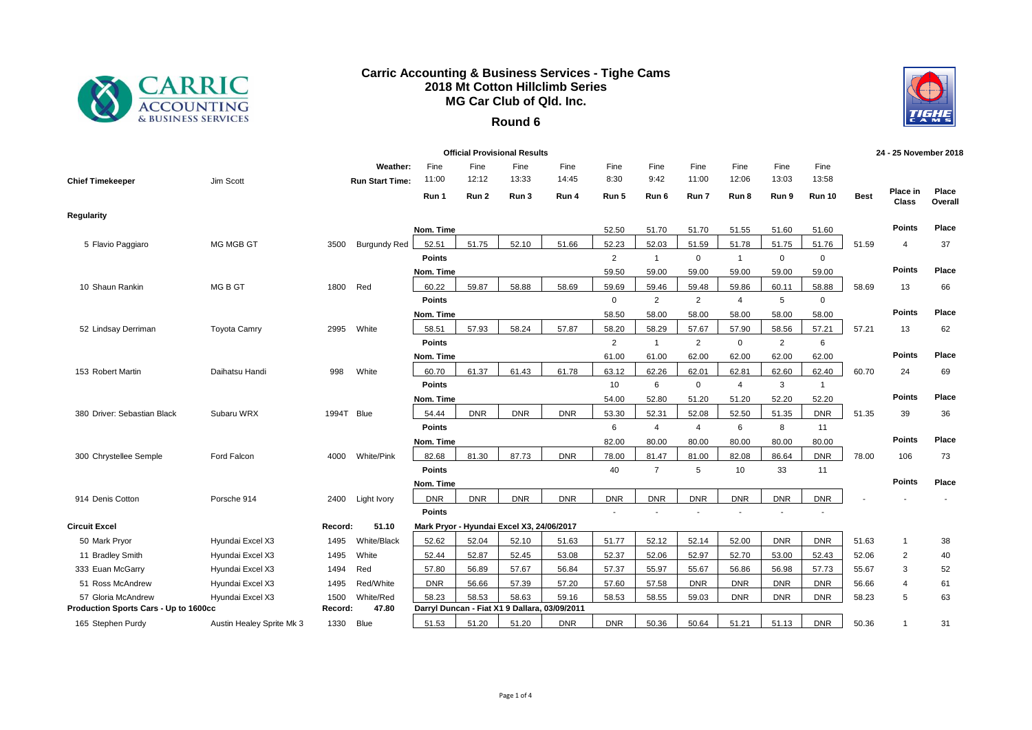

## **Carric Accounting & Business Services - Tighe Cams 2018 Mt Cotton Hillclimb Series MG Car Club of Qld. Inc.**

## **Round 6**



| <b>Official Provisional Results</b>   |                           |         |                        |               |            |                                               |            |                |                |                |                |             |                |             | 24 - 25 November 2018 |                  |
|---------------------------------------|---------------------------|---------|------------------------|---------------|------------|-----------------------------------------------|------------|----------------|----------------|----------------|----------------|-------------|----------------|-------------|-----------------------|------------------|
|                                       |                           |         | Weather:               | Fine          | Fine       | Fine                                          | Fine       | Fine           | Fine           | Fine           | Fine           | Fine        | Fine           |             |                       |                  |
| <b>Chief Timekeeper</b>               | Jim Scott                 |         | <b>Run Start Time:</b> | 11:00         | 12:12      | 13:33                                         | 14:45      | 8:30           | 9:42           | 11:00          | 12:06          | 13:03       | 13:58          |             |                       |                  |
|                                       |                           |         |                        | Run 1         | Run 2      | Run 3                                         | Run 4      | Run 5          | Run 6          | Run 7          | Run 8          | Run 9       | <b>Run 10</b>  | <b>Best</b> | Place in<br>Class     | Place<br>Overall |
| Regularity                            |                           |         |                        |               |            |                                               |            |                |                |                |                |             |                |             |                       |                  |
|                                       |                           |         |                        | Nom. Time     |            |                                               |            | 52.50          | 51.70          | 51.70          | 51.55          | 51.60       | 51.60          |             | <b>Points</b>         | Place            |
| 5 Flavio Paggiaro                     | MG MGB GT                 | 3500    | <b>Burgundy Red</b>    | 52.51         | 51.75      | 52.10                                         | 51.66      | 52.23          | 52.03          | 51.59          | 51.78          | 51.75       | 51.76          | 51.59       | $\boldsymbol{\Delta}$ | 37               |
|                                       |                           |         |                        | <b>Points</b> |            |                                               |            | $\overline{2}$ | $\overline{1}$ | $\mathbf 0$    | $\overline{1}$ | $\mathsf 0$ | $\mathbf 0$    |             |                       |                  |
|                                       |                           |         |                        | Nom. Time     |            |                                               |            | 59.50          | 59.00          | 59.00          | 59.00          | 59.00       | 59.00          |             | <b>Points</b>         | Place            |
| 10 Shaun Rankin                       | MG B GT                   | 1800    | Red                    | 60.22         | 59.87      | 58.88                                         | 58.69      | 59.69          | 59.46          | 59.48          | 59.86          | 60.11       | 58.88          | 58.69       | 13                    | 66               |
|                                       |                           |         |                        | <b>Points</b> |            |                                               |            | $\mathbf 0$    | $\overline{2}$ | $\overline{2}$ | $\overline{4}$ | 5           | $\mathbf 0$    |             |                       |                  |
|                                       |                           |         |                        | Nom. Time     |            |                                               |            | 58.50          | 58.00          | 58.00          | 58.00          | 58.00       | 58.00          |             | <b>Points</b>         | Place            |
| 52 Lindsay Derriman                   | <b>Toyota Camry</b>       | 2995    | White                  | 58.51         | 57.93      | 58.24                                         | 57.87      | 58.20          | 58.29          | 57.67          | 57.90          | 58.56       | 57.21          | 57.21       | 13                    | 62               |
|                                       |                           |         |                        | <b>Points</b> |            |                                               |            | $\overline{2}$ | $\mathbf{1}$   | $\overline{2}$ | $\mathbf 0$    | 2           | 6              |             |                       |                  |
|                                       |                           |         |                        | Nom. Time     |            |                                               |            | 61.00          | 61.00          | 62.00          | 62.00          | 62.00       | 62.00          |             | <b>Points</b>         | Place            |
| 153 Robert Martin                     | Daihatsu Handi            | 998     | White                  | 60.70         | 61.37      | 61.43                                         | 61.78      | 63.12          | 62.26          | 62.01          | 62.81          | 62.60       | 62.40          | 60.70       | 24                    | 69               |
|                                       |                           |         |                        | <b>Points</b> |            |                                               |            | 10             | 6              | $\mathbf 0$    | $\overline{4}$ | 3           | $\overline{1}$ |             |                       |                  |
|                                       |                           |         |                        | Nom. Time     |            |                                               |            | 54.00          | 52.80          | 51.20          | 51.20          | 52.20       | 52.20          |             | <b>Points</b>         | Place            |
| 380 Driver: Sebastian Black           | Subaru WRX                | 1994T   | Blue                   | 54.44         | <b>DNR</b> | <b>DNR</b>                                    | <b>DNR</b> | 53.30          | 52.31          | 52.08          | 52.50          | 51.35       | <b>DNR</b>     | 51.35       | 39                    | 36               |
|                                       |                           |         |                        | <b>Points</b> |            |                                               |            | 6              | 4              | 4              | 6              | 8           | 11             |             |                       |                  |
|                                       |                           |         |                        | Nom. Time     |            |                                               |            | 82.00          | 80.00          | 80.00          | 80.00          | 80.00       | 80.00          |             | <b>Points</b>         | Place            |
| 300 Chrystellee Semple                | Ford Falcon               | 4000    | <b>White/Pink</b>      | 82.68         | 81.30      | 87.73                                         | <b>DNR</b> | 78.00          | 81.47          | 81.00          | 82.08          | 86.64       | <b>DNR</b>     | 78.00       | 106                   | 73               |
|                                       |                           |         |                        | <b>Points</b> |            |                                               |            | 40             | $\overline{7}$ | 5              | 10             | 33          | 11             |             |                       |                  |
|                                       |                           |         |                        | Nom. Time     |            |                                               |            |                |                |                |                |             |                |             | <b>Points</b>         | Place            |
| 914 Denis Cotton                      | Porsche 914               | 2400    | Light Ivory            | <b>DNR</b>    | <b>DNR</b> | <b>DNR</b>                                    | <b>DNR</b> | <b>DNR</b>     | <b>DNR</b>     | <b>DNR</b>     | <b>DNR</b>     | <b>DNR</b>  | <b>DNR</b>     |             |                       |                  |
|                                       |                           |         |                        | Points        |            |                                               |            |                |                |                |                |             |                |             |                       |                  |
| <b>Circuit Excel</b>                  |                           | Record: | 51.10                  |               |            | Mark Pryor - Hyundai Excel X3, 24/06/2017     |            |                |                |                |                |             |                |             |                       |                  |
| 50 Mark Pryor                         | Hyundai Excel X3          | 1495    | White/Black            | 52.62         | 52.04      | 52.10                                         | 51.63      | 51.77          | 52.12          | 52.14          | 52.00          | <b>DNR</b>  | <b>DNR</b>     | 51.63       | 1                     | 38               |
| 11 Bradley Smith                      | Hyundai Excel X3          | 1495    | White                  | 52.44         | 52.87      | 52.45                                         | 53.08      | 52.37          | 52.06          | 52.97          | 52.70          | 53.00       | 52.43          | 52.06       | $\overline{2}$        | 40               |
| 333 Euan McGarry                      | Hyundai Excel X3          | 1494    | Red                    | 57.80         | 56.89      | 57.67                                         | 56.84      | 57.37          | 55.97          | 55.67          | 56.86          | 56.98       | 57.73          | 55.67       | 3                     | 52               |
| 51 Ross McAndrew                      | Hyundai Excel X3          | 1495    | Red/White              | <b>DNR</b>    | 56.66      | 57.39                                         | 57.20      | 57.60          | 57.58          | <b>DNR</b>     | <b>DNR</b>     | <b>DNR</b>  | <b>DNR</b>     | 56.66       | 4                     | 61               |
| 57 Gloria McAndrew                    | Hyundai Excel X3          | 1500    | White/Red              | 58.23         | 58.53      | 58.63                                         | 59.16      | 58.53          | 58.55          | 59.03          | <b>DNR</b>     | <b>DNR</b>  | <b>DNR</b>     | 58.23       | 5                     | 63               |
| Production Sports Cars - Up to 1600cc |                           | Record: | 47.80                  |               |            | Darryl Duncan - Fiat X1 9 Dallara, 03/09/2011 |            |                |                |                |                |             |                |             |                       |                  |
| 165 Stephen Purdy                     | Austin Healey Sprite Mk 3 | 1330    | <b>Blue</b>            | 51.53         | 51.20      | 51.20                                         | <b>DNR</b> | <b>DNR</b>     | 50.36          | 50.64          | 51.21          | 51.13       | <b>DNR</b>     | 50.36       |                       | 31               |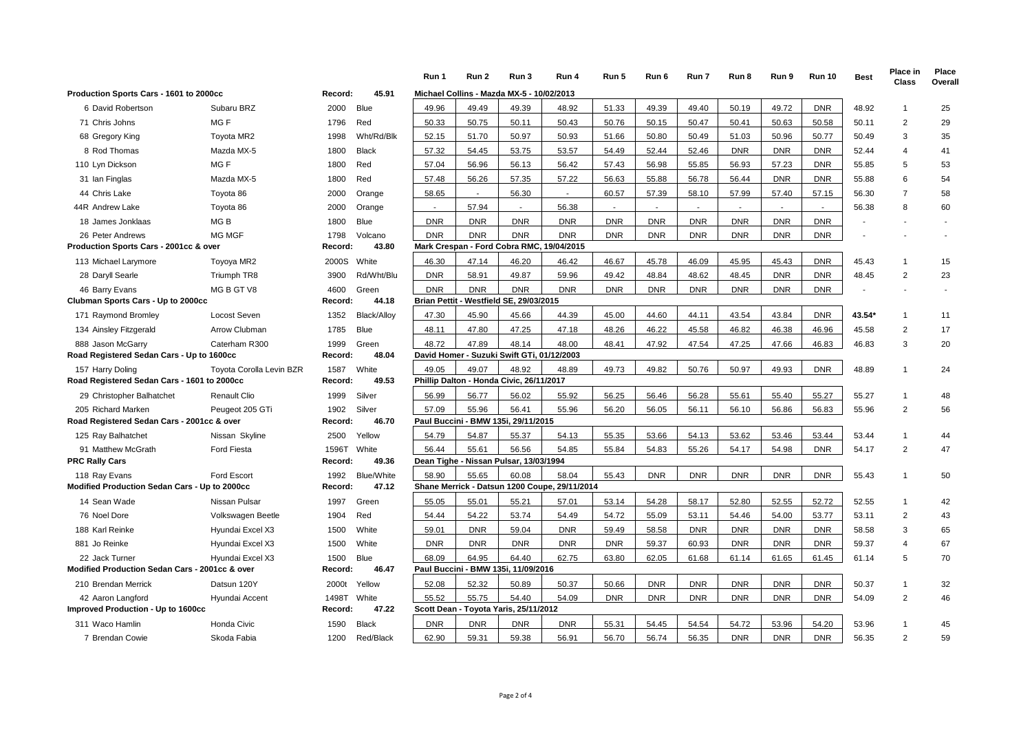|                                                                  |                          |                 |                    | Run 1                    | Run 2      | Run 3                                             | Run 4                                         | Run 5      | Run 6          | Run 7      | Run 8      | Run 9      | <b>Run 10</b> | <b>Best</b>              | <b>Place in</b><br>Class | Place<br>Overall |
|------------------------------------------------------------------|--------------------------|-----------------|--------------------|--------------------------|------------|---------------------------------------------------|-----------------------------------------------|------------|----------------|------------|------------|------------|---------------|--------------------------|--------------------------|------------------|
| Production Sports Cars - 1601 to 2000cc                          |                          | Record:         | 45.91              |                          |            | Michael Collins - Mazda MX-5 - 10/02/2013         |                                               |            |                |            |            |            |               |                          |                          |                  |
| 6 David Robertson                                                | Subaru BRZ               | 2000            | <b>Blue</b>        | 49.96                    | 49.49      | 49.39                                             | 48.92                                         | 51.33      | 49.39          | 49.40      | 50.19      | 49.72      | <b>DNR</b>    | 48.92                    | -1                       | 25               |
| 71 Chris Johns                                                   | MG F                     | 1796            | Red                | 50.33                    | 50.75      | 50.11                                             | 50.43                                         | 50.76      | 50.15          | 50.47      | 50.41      | 50.63      | 50.58         | 50.11                    | $\overline{2}$           | 29               |
| 68 Gregory King                                                  | Toyota MR2               | 1998            | Wht/Rd/Blk         | 52.15                    | 51.70      | 50.97                                             | 50.93                                         | 51.66      | 50.80          | 50.49      | 51.03      | 50.96      | 50.77         | 50.49                    | 3                        | 35               |
| 8 Rod Thomas                                                     | Mazda MX-5               | 1800            | <b>Black</b>       | 57.32                    | 54.45      | 53.75                                             | 53.57                                         | 54.49      | 52.44          | 52.46      | <b>DNR</b> | <b>DNR</b> | <b>DNR</b>    | 52.44                    | $\overline{4}$           | 41               |
| 110 Lyn Dickson                                                  | MG F                     | 1800            | Red                | 57.04                    | 56.96      | 56.13                                             | 56.42                                         | 57.43      | 56.98          | 55.85      | 56.93      | 57.23      | <b>DNR</b>    | 55.85                    | 5                        | 53               |
| 31 Ian Finglas                                                   | Mazda MX-5               | 1800            | Red                | 57.48                    | 56.26      | 57.35                                             | 57.22                                         | 56.63      | 55.88          | 56.78      | 56.44      | <b>DNR</b> | <b>DNR</b>    | 55.88                    | 6                        | 54               |
| 44 Chris Lake                                                    | Toyota 86                | 2000            | Orange             | 58.65                    | $\sim$     | 56.30                                             |                                               | 60.57      | 57.39          | 58.10      | 57.99      | 57.40      | 57.15         | 56.30                    | $\overline{7}$           | 58               |
| 44R Andrew Lake                                                  | Toyota 86                | 2000            | Orange             | $\overline{\phantom{a}}$ | 57.94      |                                                   | 56.38                                         |            | $\blacksquare$ |            |            |            |               | 56.38                    | 8                        | 60               |
| 18 James Jonklaas                                                | MG <sub>B</sub>          | 1800            | <b>Blue</b>        | <b>DNR</b>               | <b>DNR</b> | <b>DNR</b>                                        | <b>DNR</b>                                    | <b>DNR</b> | <b>DNR</b>     | <b>DNR</b> | <b>DNR</b> | <b>DNR</b> | <b>DNR</b>    | $\overline{\phantom{a}}$ |                          |                  |
| 26 Peter Andrews                                                 | <b>MG MGF</b>            | 1798            | Volcano            | <b>DNR</b>               | <b>DNR</b> | <b>DNR</b>                                        | <b>DNR</b>                                    | <b>DNR</b> | <b>DNR</b>     | <b>DNR</b> | <b>DNR</b> | <b>DNR</b> | <b>DNR</b>    |                          |                          |                  |
| Production Sports Cars - 2001cc & over                           |                          | Record:         | 43.80              |                          |            |                                                   | Mark Crespan - Ford Cobra RMC, 19/04/2015     |            |                |            |            |            |               |                          |                          |                  |
| 113 Michael Larymore                                             | Toyoya MR2               | 2000S           | White              | 46.30                    | 47.14      | 46.20                                             | 46.42                                         | 46.67      | 45.78          | 46.09      | 45.95      | 45.43      | <b>DNR</b>    | 45.43                    | $\overline{1}$           | 15               |
| 28 Daryll Searle                                                 | Triumph TR8              | 3900            | Rd/Wht/Blu         | <b>DNR</b>               | 58.91      | 49.87                                             | 59.96                                         | 49.42      | 48.84          | 48.62      | 48.45      | <b>DNR</b> | <b>DNR</b>    | 48.45                    | $\overline{2}$           | 23               |
| 46 Barry Evans                                                   | MG B GT V8               | 4600            | Green              | <b>DNR</b>               | <b>DNR</b> | <b>DNR</b>                                        | <b>DNR</b>                                    | <b>DNR</b> | <b>DNR</b>     | <b>DNR</b> | <b>DNR</b> | <b>DNR</b> | <b>DNR</b>    | $\sim$                   |                          |                  |
| Clubman Sports Cars - Up to 2000cc                               |                          |                 | Record:<br>44.18   | <b>Brian Pettit</b>      |            | Westfield SE, 29/03/2015                          |                                               |            |                |            |            |            |               |                          |                          |                  |
| 171 Raymond Bromley                                              | Locost Seven             | 1352            | <b>Black/Alloy</b> | 47.30                    | 45.90      | 45.66                                             | 44.39                                         | 45.00      | 44.60          | 44.11      | 43.54      | 43.84      | <b>DNR</b>    | 43.54*                   | $\overline{1}$           | 11               |
| 134 Ainsley Fitzgerald                                           | Arrow Clubman            | 1785            | Blue               | 48.11                    | 47.80      | 47.25                                             | 47.18                                         | 48.26      | 46.22          | 45.58      | 46.82      | 46.38      | 46.96         | 45.58                    | $\overline{2}$           | 17               |
| 888 Jason McGarry                                                | Caterham R300            | 1999            | Green              | 48.72                    | 47.89      | 48.14                                             | 48.00                                         | 48.41      | 47.92          | 47.54      | 47.25      | 47.66      | 46.83         | 46.83                    | 3                        | 20               |
| Road Registered Sedan Cars - Up to 1600cc                        |                          | Record:         | 48.04              |                          |            | David Homer - Suzuki Swift GTi, 01/12/2003        |                                               |            |                |            |            |            |               |                          |                          |                  |
| 157 Harry Doling<br>Road Registered Sedan Cars - 1601 to 2000cc  | Toyota Corolla Levin BZR | 1587<br>Record: | White<br>49.53     | 49.05                    | 49.07      | 48.92<br>Phillip Dalton - Honda Civic, 26/11/2017 | 48.89                                         | 49.73      | 49.82          | 50.76      | 50.97      | 49.93      | <b>DNR</b>    | 48.89                    | $\overline{1}$           | 24               |
|                                                                  |                          | 1999            |                    | 56.99                    | 56.77      | 56.02                                             | 55.92                                         | 56.25      | 56.46          | 56.28      | 55.61      | 55.40      | 55.27         | 55.27                    | $\overline{1}$           |                  |
| 29 Christopher Balhatchet                                        | <b>Renault Clio</b>      |                 | Silver             |                          |            |                                                   |                                               |            |                |            |            |            |               |                          |                          | 48               |
| 205 Richard Marken<br>Road Registered Sedan Cars - 2001cc & over | Peugeot 205 GTi          | 1902<br>Record: | Silver<br>46.70    | 57.09                    | 55.96      | 56.41<br>Paul Buccini - BMW 135i, 29/11/2015      | 55.96                                         | 56.20      | 56.05          | 56.11      | 56.10      | 56.86      | 56.83         | 55.96                    | $\overline{2}$           | 56               |
| 125 Ray Balhatchet                                               | Nissan Skyline           | 2500            | Yellow             | 54.79                    | 54.87      | 55.37                                             | 54.13                                         | 55.35      | 53.66          | 54.13      | 53.62      | 53.46      | 53.44         | 53.44                    | $\overline{1}$           | 44               |
| 91 Matthew McGrath                                               | <b>Ford Fiesta</b>       | 1596T           | White              | 56.44                    | 55.61      | 56.56                                             | 54.85                                         | 55.84      | 54.83          | 55.26      | 54.17      | 54.98      | <b>DNR</b>    | 54.17                    | $\overline{2}$           | 47               |
| <b>PRC Rally Cars</b>                                            |                          | Record:         | 49.36              |                          |            | Dean Tighe - Nissan Pulsar, 13/03/1994            |                                               |            |                |            |            |            |               |                          |                          |                  |
| 118 Ray Evans                                                    | <b>Ford Escort</b>       | 1992            | <b>Blue/White</b>  | 58.90                    | 55.65      | 60.08                                             | 58.04                                         | 55.43      | <b>DNR</b>     | <b>DNR</b> | <b>DNR</b> | <b>DNR</b> | <b>DNR</b>    | 55.43                    | $\overline{1}$           | 50               |
| Modified Production Sedan Cars - Up to 2000cc                    |                          | Record:         | 47.12              |                          |            |                                                   | Shane Merrick - Datsun 1200 Coupe, 29/11/2014 |            |                |            |            |            |               |                          |                          |                  |
| 14 Sean Wade                                                     | Nissan Pulsar            | 1997            | Green              | 55.05                    | 55.01      | 55.21                                             | 57.01                                         | 53.14      | 54.28          | 58.17      | 52.80      | 52.55      | 52.72         | 52.55                    | $\overline{1}$           | 42               |
| 76 Noel Dore                                                     | Volkswagen Beetle        | 1904            | Red                | 54.44                    | 54.22      | 53.74                                             | 54.49                                         | 54.72      | 55.09          | 53.11      | 54.46      | 54.00      | 53.77         | 53.11                    | $\overline{2}$           | 43               |
| 188 Karl Reinke                                                  | Hyundai Excel X3         | 1500            | White              | 59.01                    | <b>DNR</b> | 59.04                                             | <b>DNR</b>                                    | 59.49      | 58.58          | <b>DNR</b> | <b>DNR</b> | <b>DNR</b> | <b>DNR</b>    | 58.58                    | 3                        | 65               |
| 881 Jo Reinke                                                    | Hyundai Excel X3         | 1500            | White              | <b>DNR</b>               | <b>DNR</b> | <b>DNR</b>                                        | <b>DNR</b>                                    | <b>DNR</b> | 59.37          | 60.93      | <b>DNR</b> | <b>DNR</b> | <b>DNR</b>    | 59.37                    | $\overline{4}$           | 67               |
| 22 Jack Turner                                                   | Hyundai Excel X3         | 1500            | <b>Blue</b>        | 68.09                    | 64.95      | 64.40                                             | 62.75                                         | 63.80      | 62.05          | 61.68      | 61.14      | 61.65      | 61.45         | 61.14                    | 5                        | 70               |
| <b>Modified Production Sedan Cars - 2001cc &amp; over</b>        |                          | Record:         | 46.47              |                          |            | Paul Buccini - BMW 135i, 11/09/2016               |                                               |            |                |            |            |            |               |                          |                          |                  |
| 210 Brendan Merrick                                              | Datsun 120Y              | 2000t           | Yellow             | 52.08                    | 52.32      | 50.89                                             | 50.37                                         | 50.66      | <b>DNR</b>     | <b>DNR</b> | <b>DNR</b> | <b>DNR</b> | <b>DNR</b>    | 50.37                    | $\overline{1}$           | 32               |
| 42 Aaron Langford                                                | Hyundai Accent           | 1498T           | White              | 55.52                    | 55.75      | 54.40                                             | 54.09                                         | <b>DNR</b> | <b>DNR</b>     | <b>DNR</b> | <b>DNR</b> | <b>DNR</b> | <b>DNR</b>    | 54.09                    | $\overline{2}$           | 46               |
| Improved Production - Up to 1600cc                               |                          | Record:         | 47.22              |                          |            | Scott Dean - Toyota Yaris, 25/11/2012             |                                               |            |                |            |            |            |               |                          |                          |                  |
| 311 Waco Hamlin                                                  | Honda Civic              | 1590            | <b>Black</b>       | <b>DNR</b>               | <b>DNR</b> | <b>DNR</b>                                        | <b>DNR</b>                                    | 55.31      | 54.45          | 54.54      | 54.72      | 53.96      | 54.20         | 53.96                    | -1                       | 45               |
| 7 Brendan Cowie                                                  | Skoda Fabia              | 1200            | Red/Black          | 62.90                    | 59.31      | 59.38                                             | 56.91                                         | 56.70      | 56.74          | 56.35      | <b>DNR</b> | <b>DNR</b> | <b>DNR</b>    | 56.35                    | $\mathcal{P}$            | 59               |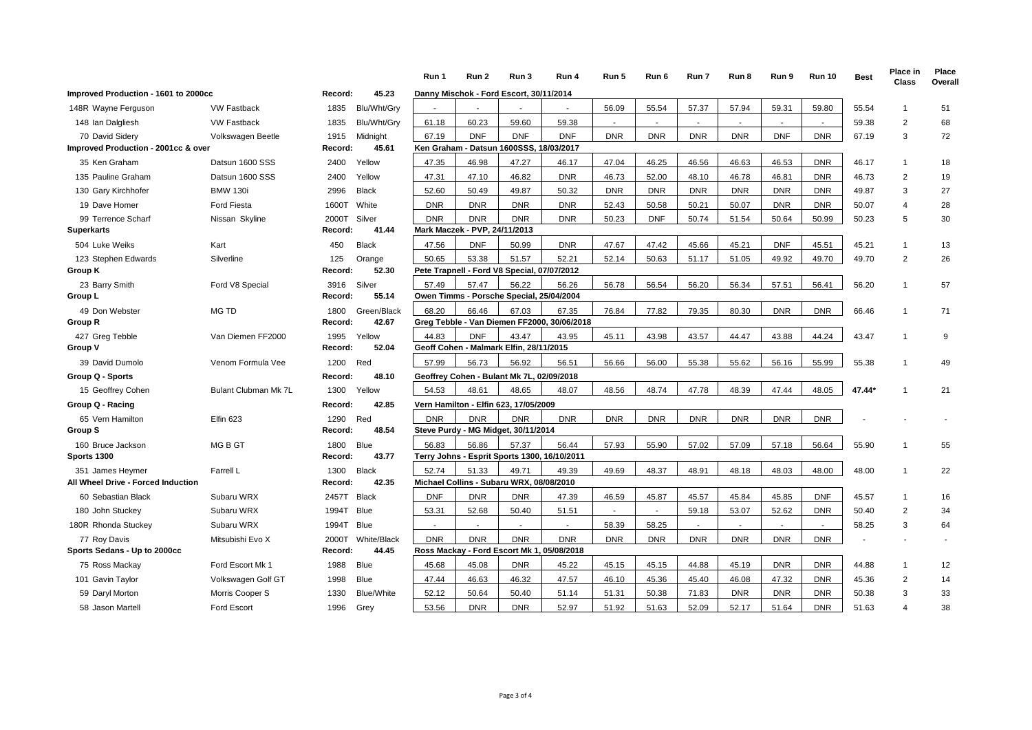|                                              |                      |                  |                      | Run 1                     | Run 2                                             | Run 3      | Run 4                                        | Run 5      | Run 6      | Run 7      | Run 8        | Run 9      | <b>Run 10</b> | <b>Best</b> | Place in<br>Class | Place<br>Overall |
|----------------------------------------------|----------------------|------------------|----------------------|---------------------------|---------------------------------------------------|------------|----------------------------------------------|------------|------------|------------|--------------|------------|---------------|-------------|-------------------|------------------|
| Improved Production - 1601 to 2000cc         |                      | Record:          | 45.23                |                           | Danny Mischok - Ford Escort, 30/11/2014           |            |                                              |            |            |            |              |            |               |             |                   |                  |
| 148R Wayne Ferguson                          | <b>VW Fastback</b>   | 1835             | Blu/Wht/Gry          |                           |                                                   |            |                                              | 56.09      | 55.54      | 57.37      | 57.94        | 59.31      | 59.80         | 55.54       | 1                 | 51               |
| 148 Ian Dalgliesh                            | <b>VW Fastback</b>   | 1835             | Blu/Wht/Gry          | 61.18                     | 60.23                                             | 59.60      | 59.38                                        |            | $\sim$     |            | $\sim$       |            | $\sim$        | 59.38       | $\overline{2}$    | 68               |
| 70 David Sidery                              | Volkswagen Beetle    | 1915             | Midnight             | 67.19                     | <b>DNF</b>                                        | <b>DNF</b> | <b>DNF</b>                                   | <b>DNR</b> | <b>DNR</b> | <b>DNR</b> | <b>DNR</b>   | <b>DNF</b> | <b>DNR</b>    | 67.19       | 3                 | 72               |
| Improved Production - 2001cc & over          |                      | Record:          | 45.61                |                           | Ken Graham - Datsun 1600SSS, 18/03/2017           |            |                                              |            |            |            |              |            |               |             |                   |                  |
| 35 Ken Graham                                | Datsun 1600 SSS      | 2400             | Yellow               | 47.35                     | 46.98                                             | 47.27      | 46.17                                        | 47.04      | 46.25      | 46.56      | 46.63        | 46.53      | <b>DNR</b>    | 46.17       | $\overline{1}$    | 18               |
| 135 Pauline Graham                           | Datsun 1600 SSS      | 2400             | Yellow               | 47.31                     | 47.10                                             | 46.82      | <b>DNR</b>                                   | 46.73      | 52.00      | 48.10      | 46.78        | 46.81      | <b>DNR</b>    | 46.73       | 2                 | 19               |
| 130 Gary Kirchhofer                          | <b>BMW 130i</b>      | 2996             | <b>Black</b>         | 52.60                     | 50.49                                             | 49.87      | 50.32                                        | <b>DNR</b> | <b>DNR</b> | <b>DNR</b> | <b>DNR</b>   | <b>DNR</b> | <b>DNR</b>    | 49.87       | 3                 | 27               |
| 19 Dave Homer                                | <b>Ford Fiesta</b>   | 1600T            | White                | <b>DNR</b>                | <b>DNR</b>                                        | <b>DNR</b> | <b>DNR</b>                                   | 52.43      | 50.58      | 50.21      | 50.07        | <b>DNR</b> | <b>DNR</b>    | 50.07       | $\overline{4}$    | 28               |
| 99 Terrence Scharf                           | Nissan Skyline       | 2000T            | Silver               | <b>DNR</b>                | <b>DNR</b>                                        | <b>DNR</b> | <b>DNR</b>                                   | 50.23      | <b>DNF</b> | 50.74      | 51.54        | 50.64      | 50.99         | 50.23       | 5                 | 30               |
| <b>Superkarts</b>                            |                      | Record:          | 41.44                |                           | Mark Maczek - PVP, 24/11/2013                     |            |                                              |            |            |            |              |            |               |             |                   |                  |
| 504 Luke Weiks                               | Kart                 | 450              | <b>Black</b>         | 47.56                     | <b>DNF</b>                                        | 50.99      | <b>DNR</b>                                   | 47.67      | 47.42      | 45.66      | 45.21        | <b>DNF</b> | 45.51         | 45.21       | $\mathbf{1}$      | 13               |
| 123 Stephen Edwards                          | Silverline           | 125              | Orange               | 50.65                     | 53.38                                             | 51.57      | 52.21                                        | 52.14      | 50.63      | 51.17      | 51.05        | 49.92      | 49.70         | 49.70       | 2                 | 26               |
| Group K                                      |                      | Record:          | 52.30                |                           | Pete Trapnell - Ford V8 Special, 07/07/2012       |            |                                              |            |            |            |              |            |               |             |                   |                  |
| 23 Barry Smith<br>Group L                    | Ford V8 Special      | 3916<br>Record:  | Silver<br>55.14      | 57.49                     | 57.47<br>Owen Timms - Porsche Special, 25/04/2004 | 56.22      | 56.26                                        | 56.78      | 56.54      | 56.20      | 56.34        | 57.51      | 56.41         | 56.20       | $\mathbf{1}$      | 57               |
| 49 Don Webster                               | MG TD                | 1800             | Green/Black          | 68.20                     | 66.46                                             | 67.03      | 67.35                                        | 76.84      | 77.82      | 79.35      | 80.30        | <b>DNR</b> | <b>DNR</b>    | 66.46       | $\mathbf{1}$      | 71               |
| Group R                                      |                      | Record:          | 42.67                |                           |                                                   |            | Greg Tebble - Van Diemen FF2000, 30/06/2018  |            |            |            |              |            |               |             |                   |                  |
| 427 Greg Tebble                              | Van Diemen FF2000    | 1995             | Yellow               | 44.83                     | <b>DNF</b>                                        | 43.47      | 43.95                                        | 45.11      | 43.98      | 43.57      | 44.47        | 43.88      | 44.24         | 43.47       | $\mathbf{1}$      | 9                |
| Group V                                      |                      | Record:          | 52.04                |                           | Geoff Cohen - Malmark Elfin, 28/11/2015           |            |                                              |            |            |            |              |            |               |             |                   |                  |
| 39 David Dumolo                              | Venom Formula Vee    | 1200             | Red                  | 57.99                     | 56.73                                             | 56.92      | 56.51                                        | 56.66      | 56.00      | 55.38      | 55.62        | 56.16      | 55.99         | 55.38       | $\mathbf{1}$      | 49               |
| Group Q - Sports                             |                      | Record:          | 48.10                |                           | Geoffrey Cohen - Bulant Mk 7L, 02/09/2018         |            |                                              |            |            |            |              |            |               |             |                   |                  |
| 15 Geoffrey Cohen                            | Bulant Clubman Mk 7L | 1300             | Yellow               | 54.53                     | 48.61                                             | 48.65      | 48.07                                        | 48.56      | 48.74      | 47.78      | 48.39        | 47.44      | 48.05         | 47.44*      | -1                | 21               |
| Group Q - Racing                             |                      | Record:          | 42.85                |                           | Vern Hamilton - Elfin 623, 17/05/2009             |            |                                              |            |            |            |              |            |               |             |                   |                  |
| 65 Vern Hamilton                             | Elfin 623            | 1290             | Red                  | <b>DNR</b>                | <b>DNR</b>                                        | <b>DNR</b> | <b>DNR</b>                                   | <b>DNR</b> | <b>DNR</b> | <b>DNR</b> | <b>DNR</b>   | <b>DNR</b> | <b>DNR</b>    |             |                   |                  |
| Group S                                      |                      | Record:          | 48.54                |                           | Steve Purdy - MG Midget, 30/11/2014               |            |                                              |            |            |            |              |            |               |             |                   |                  |
| 160 Bruce Jackson                            | MG B GT              | 1800             | <b>Blue</b>          | 56.83                     | 56.86                                             | 57.37      | 56.44                                        | 57.93      | 55.90      | 57.02      | 57.09        | 57.18      | 56.64         | 55.90       |                   | 55               |
| Sports 1300                                  |                      | Record:          | 43.77                |                           |                                                   |            | Terry Johns - Esprit Sports 1300, 16/10/2011 |            |            |            |              |            |               |             |                   |                  |
| 351 James Heymer                             | Farrell L            | 1300             | <b>Black</b>         | 52.74                     | 51.33<br>Michael Collins - Subaru WRX, 08/08/2010 | 49.71      | 49.39                                        | 49.69      | 48.37      | 48.91      | 48.18        | 48.03      | 48.00         | 48.00       | 1                 | 22               |
| All Wheel Drive - Forced Induction           |                      | Record:          | 42.35                |                           |                                                   |            |                                              |            |            |            |              |            |               |             |                   |                  |
| 60 Sebastian Black                           | Subaru WRX           | 2457T            | <b>Black</b>         | <b>DNF</b>                | <b>DNR</b>                                        | <b>DNR</b> | 47.39                                        | 46.59      | 45.87      | 45.57      | 45.84        | 45.85      | <b>DNF</b>    | 45.57       | $\mathbf 1$       | 16               |
| 180 John Stuckey                             | Subaru WRX           | 1994T            | <b>Blue</b>          | 53.31                     | 52.68                                             | 50.40      | 51.51                                        | $\sim$     | $\sim$     | 59.18      | 53.07        | 52.62      | <b>DNR</b>    | 50.40       | $\overline{2}$    | 34               |
| 180R Rhonda Stuckey                          | Subaru WRX           | 1994T            | <b>Blue</b>          | $\sim$                    | $\overline{\phantom{a}}$                          | $\sim$     | $\sim$                                       | 58.39      | 58.25      | ÷          | $\mathbf{r}$ |            | $\sim$        | 58.25       | 3                 | 64               |
| 77 Roy Davis<br>Sports Sedans - Up to 2000cc | Mitsubishi Evo X     | 2000T<br>Record: | White/Black<br>44.45 | <b>DNR</b><br>Ross Mackay | <b>DNR</b>                                        | <b>DNR</b> | <b>DNR</b><br>- Ford Escort Mk 1, 05/08/2018 | <b>DNR</b> | <b>DNR</b> | <b>DNR</b> | <b>DNR</b>   | <b>DNR</b> | <b>DNR</b>    |             |                   |                  |
| 75 Ross Mackay                               | Ford Escort Mk 1     | 1988             | Blue                 | 45.68                     | 45.08                                             | <b>DNR</b> | 45.22                                        | 45.15      | 45.15      | 44.88      | 45.19        | <b>DNR</b> | <b>DNR</b>    | 44.88       | $\overline{1}$    | 12               |
| 101 Gavin Taylor                             | Volkswagen Golf GT   | 1998             | <b>Blue</b>          | 47.44                     | 46.63                                             | 46.32      | 47.57                                        | 46.10      | 45.36      | 45.40      | 46.08        | 47.32      | <b>DNR</b>    | 45.36       | $\overline{2}$    | 14               |
| 59 Daryl Morton                              | Morris Cooper S      | 1330             | <b>Blue/White</b>    | 52.12                     | 50.64                                             | 50.40      | 51.14                                        | 51.31      | 50.38      | 71.83      | <b>DNR</b>   | <b>DNR</b> | <b>DNR</b>    | 50.38       | 3                 | 33               |
| 58 Jason Martell                             | <b>Ford Escort</b>   | 1996             | Grev                 | 53.56                     | <b>DNR</b>                                        | <b>DNR</b> | 52.97                                        | 51.92      | 51.63      | 52.09      | 52.17        | 51.64      | <b>DNR</b>    | 51.63       | $\overline{4}$    | 38               |
|                                              |                      |                  |                      |                           |                                                   |            |                                              |            |            |            |              |            |               |             |                   |                  |